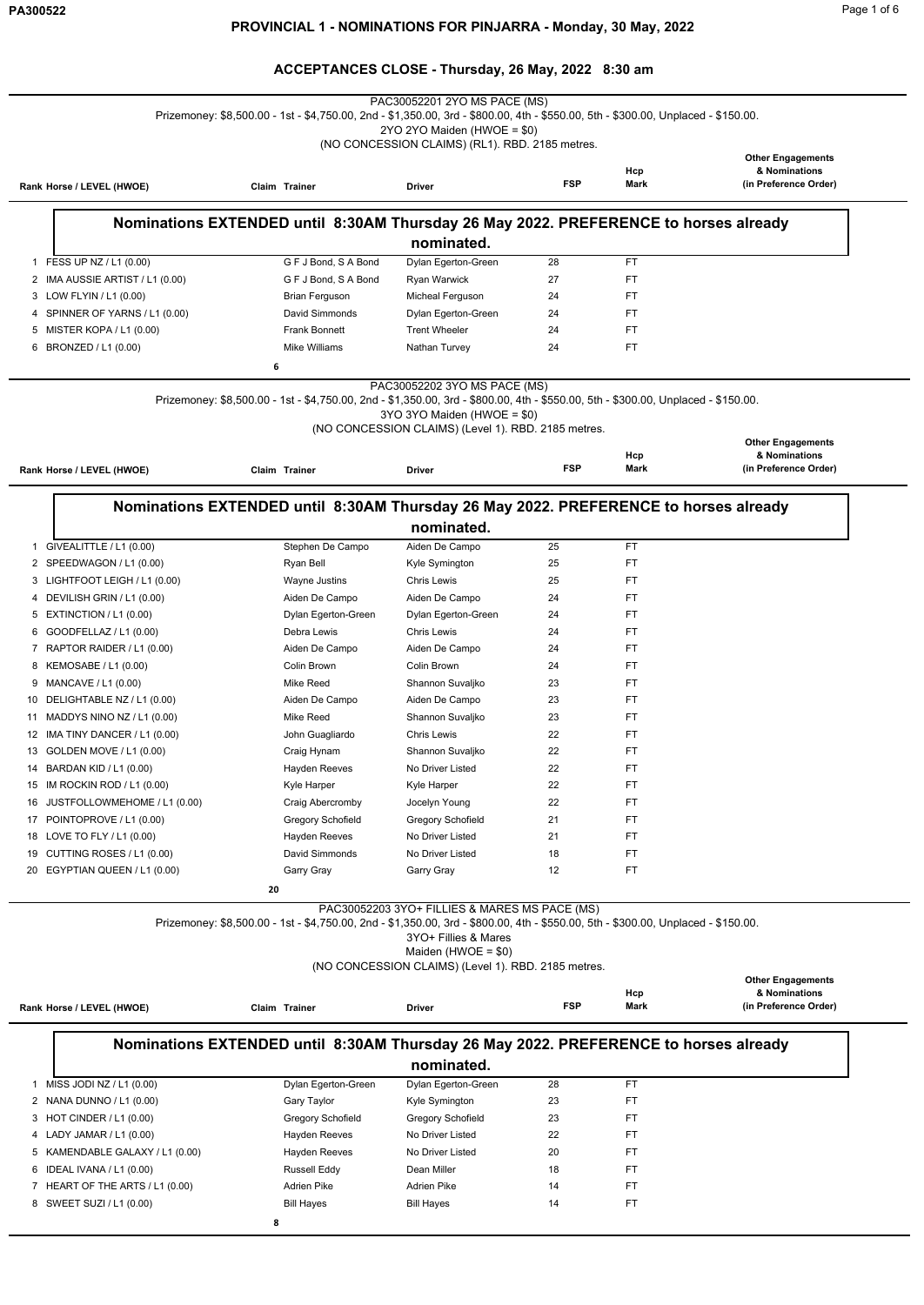|                                    |    |                          | PAC30052201 2YO MS PACE (MS)<br>Prizemoney: \$8,500.00 - 1st - \$4,750.00, 2nd - \$1,350.00, 3rd - \$800.00, 4th - \$550.00, 5th - \$300.00, Unplaced - \$150.00.                                          |            |             |                                           |
|------------------------------------|----|--------------------------|------------------------------------------------------------------------------------------------------------------------------------------------------------------------------------------------------------|------------|-------------|-------------------------------------------|
|                                    |    |                          | 2YO 2YO Maiden (HWOE = \$0)                                                                                                                                                                                |            |             |                                           |
|                                    |    |                          | (NO CONCESSION CLAIMS) (RL1). RBD. 2185 metres.                                                                                                                                                            |            |             |                                           |
|                                    |    |                          |                                                                                                                                                                                                            |            |             | <b>Other Engagements</b>                  |
|                                    |    |                          |                                                                                                                                                                                                            | <b>FSP</b> | Hcp<br>Mark | & Nominations<br>(in Preference Order)    |
| Rank Horse / LEVEL (HWOE)          |    | Claim Trainer            | <b>Driver</b>                                                                                                                                                                                              |            |             |                                           |
|                                    |    |                          |                                                                                                                                                                                                            |            |             |                                           |
|                                    |    |                          | Nominations EXTENDED until 8:30AM Thursday 26 May 2022. PREFERENCE to horses already                                                                                                                       |            |             |                                           |
|                                    |    |                          | nominated.                                                                                                                                                                                                 |            |             |                                           |
| 1 FESS UP NZ / L1 (0.00)           |    | G F J Bond, S A Bond     | Dylan Egerton-Green                                                                                                                                                                                        | 28         | <b>FT</b>   |                                           |
| 2 IMA AUSSIE ARTIST / L1 (0.00)    |    | G F J Bond, S A Bond     | Ryan Warwick                                                                                                                                                                                               | 27         | <b>FT</b>   |                                           |
| 3 LOW FLYIN / L1 (0.00)            |    | Brian Ferguson           | Micheal Ferguson                                                                                                                                                                                           | 24         | FT          |                                           |
| SPINNER OF YARNS / L1 (0.00)<br>4  |    | David Simmonds           | Dylan Egerton-Green                                                                                                                                                                                        | 24         | FT          |                                           |
| MISTER KOPA / L1 (0.00)<br>5       |    | <b>Frank Bonnett</b>     | <b>Trent Wheeler</b>                                                                                                                                                                                       | 24         | <b>FT</b>   |                                           |
| 6 BRONZED / L1 (0.00)              |    | Mike Williams            | Nathan Turvey                                                                                                                                                                                              | 24         | <b>FT</b>   |                                           |
|                                    | 6  |                          |                                                                                                                                                                                                            |            |             |                                           |
|                                    |    |                          | PAC30052202 3YO MS PACE (MS)                                                                                                                                                                               |            |             |                                           |
|                                    |    |                          | Prizemoney: \$8,500.00 - 1st - \$4,750.00, 2nd - \$1,350.00, 3rd - \$800.00, 4th - \$550.00, 5th - \$300.00, Unplaced - \$150.00.                                                                          |            |             |                                           |
|                                    |    |                          | 3YO 3YO Maiden (HWOE = \$0)                                                                                                                                                                                |            |             |                                           |
|                                    |    |                          | (NO CONCESSION CLAIMS) (Level 1). RBD. 2185 metres.                                                                                                                                                        |            |             |                                           |
|                                    |    |                          |                                                                                                                                                                                                            |            |             | <b>Other Engagements</b>                  |
| Rank Horse / LEVEL (HWOE)          |    | Claim Trainer            | Driver                                                                                                                                                                                                     | <b>FSP</b> | Hcp<br>Mark | & Nominations<br>(in Preference Order)    |
|                                    |    |                          |                                                                                                                                                                                                            |            |             |                                           |
|                                    |    |                          |                                                                                                                                                                                                            |            |             |                                           |
|                                    |    |                          | Nominations EXTENDED until 8:30AM Thursday 26 May 2022. PREFERENCE to horses already                                                                                                                       |            |             |                                           |
|                                    |    |                          | nominated.                                                                                                                                                                                                 |            |             |                                           |
| 1 GIVEALITTLE / L1 (0.00)          |    | Stephen De Campo         | Aiden De Campo                                                                                                                                                                                             | 25         | <b>FT</b>   |                                           |
| 2 SPEEDWAGON / L1 (0.00)           |    | Ryan Bell                | Kyle Symington                                                                                                                                                                                             | 25         | <b>FT</b>   |                                           |
| 3 LIGHTFOOT LEIGH / L1 (0.00)      |    | Wayne Justins            | <b>Chris Lewis</b>                                                                                                                                                                                         | 25         | <b>FT</b>   |                                           |
| 4 DEVILISH GRIN / L1 (0.00)        |    | Aiden De Campo           | Aiden De Campo                                                                                                                                                                                             | 24         | FT          |                                           |
| 5 EXTINCTION / L1 (0.00)           |    | Dylan Egerton-Green      | Dylan Egerton-Green                                                                                                                                                                                        | 24         | FT          |                                           |
| 6 GOODFELLAZ / L1 (0.00)           |    | Debra Lewis              | <b>Chris Lewis</b>                                                                                                                                                                                         | 24         | <b>FT</b>   |                                           |
| 7 RAPTOR RAIDER / L1 (0.00)        |    | Aiden De Campo           | Aiden De Campo                                                                                                                                                                                             | 24         | FT          |                                           |
| KEMOSABE / L1 (0.00)<br>8          |    | Colin Brown              | Colin Brown                                                                                                                                                                                                | 24         | <b>FT</b>   |                                           |
| MANCAVE / L1 (0.00)<br>9           |    | Mike Reed                | Shannon Suvaljko                                                                                                                                                                                           | 23         | <b>FT</b>   |                                           |
| DELIGHTABLE NZ / L1 (0.00)<br>10   |    | Aiden De Campo           | Aiden De Campo                                                                                                                                                                                             | 23         | FT          |                                           |
| MADDYS NINO NZ / L1 (0.00)<br>11   |    | Mike Reed                | Shannon Suvaljko                                                                                                                                                                                           | 23         | <b>FT</b>   |                                           |
| IMA TINY DANCER / L1 (0.00)<br>12  |    | John Guagliardo          | <b>Chris Lewis</b>                                                                                                                                                                                         | 22         | FT          |                                           |
| GOLDEN MOVE / L1 (0.00)<br>13      |    | Craig Hynam              | Shannon Suvaljko                                                                                                                                                                                           | 22         | FT          |                                           |
| BARDAN KID / L1 (0.00)<br>14       |    | <b>Hayden Reeves</b>     | No Driver Listed                                                                                                                                                                                           | 22         | <b>FT</b>   |                                           |
| 15 IM ROCKIN ROD / L1 (0.00)       |    | Kyle Harper              | <b>Kyle Harper</b>                                                                                                                                                                                         | 22         | FT          |                                           |
| JUSTFOLLOWMEHOME / L1 (0.00)<br>16 |    | Craig Abercromby         | Jocelyn Young                                                                                                                                                                                              | 22         | FT          |                                           |
| 17 POINTOPROVE / L1 (0.00)         |    | <b>Gregory Schofield</b> | <b>Gregory Schofield</b>                                                                                                                                                                                   | 21         | <b>FT</b>   |                                           |
| 18 LOVE TO FLY / L1 (0.00)         |    | Hayden Reeves            | No Driver Listed                                                                                                                                                                                           | 21         | FT.         |                                           |
| CUTTING ROSES / L1 (0.00)<br>19    |    | David Simmonds           | No Driver Listed                                                                                                                                                                                           | 18         | FT          |                                           |
| EGYPTIAN QUEEN / L1 (0.00)<br>20   |    | Garry Gray               | Garry Gray                                                                                                                                                                                                 | 12         | <b>FT</b>   |                                           |
|                                    |    |                          |                                                                                                                                                                                                            |            |             |                                           |
|                                    | 20 |                          |                                                                                                                                                                                                            |            |             |                                           |
|                                    |    |                          | PAC30052203 3YO+ FILLIES & MARES MS PACE (MS)<br>Prizemoney: \$8,500.00 - 1st - \$4,750.00, 2nd - \$1,350.00, 3rd - \$800.00, 4th - \$550.00, 5th - \$300.00, Unplaced - \$150.00.<br>3YO+ Fillies & Mares |            |             |                                           |
|                                    |    |                          | Maiden (HWOE = $$0)$                                                                                                                                                                                       |            |             |                                           |
|                                    |    |                          | (NO CONCESSION CLAIMS) (Level 1). RBD. 2185 metres.                                                                                                                                                        |            |             |                                           |
|                                    |    |                          |                                                                                                                                                                                                            |            | Hcp         | <b>Other Engagements</b><br>& Nominations |
| Rank Horse / LEVEL (HWOE)          |    | Claim Trainer            | Driver                                                                                                                                                                                                     | <b>FSP</b> | Mark        | (in Preference Order)                     |
|                                    |    |                          |                                                                                                                                                                                                            |            |             |                                           |
|                                    |    |                          | Nominations EXTENDED until 8:30AM Thursday 26 May 2022. PREFERENCE to horses already                                                                                                                       |            |             |                                           |
|                                    |    |                          | nominated.                                                                                                                                                                                                 |            |             |                                           |
| 1 MISS JODI NZ / L1 (0.00)         |    | Dylan Egerton-Green      | Dylan Egerton-Green                                                                                                                                                                                        | 28         | FT.         |                                           |
| NANA DUNNO / L1 (0.00)<br>2        |    | Gary Taylor              | Kyle Symington                                                                                                                                                                                             | 23         | <b>FT</b>   |                                           |
| 3 HOT CINDER / L1 (0.00)           |    | <b>Gregory Schofield</b> | <b>Gregory Schofield</b>                                                                                                                                                                                   | 23         | FT          |                                           |
| 4 LADY JAMAR / L1 (0.00)           |    | Hayden Reeves            | No Driver Listed                                                                                                                                                                                           | 22         | FT.         |                                           |
| 5 KAMENDABLE GALAXY / L1 (0.00)    |    | Hayden Reeves            | No Driver Listed                                                                                                                                                                                           | 20         | FT.         |                                           |
| 6 IDEAL IVANA / L1 (0.00)          |    | Russell Eddy             | Dean Miller                                                                                                                                                                                                | 18         | FT.         |                                           |
| 7 HEART OF THE ARTS / L1 (0.00)    |    | Adrien Pike              | <b>Adrien Pike</b>                                                                                                                                                                                         | 14         | FT.         |                                           |
| 8 SWEET SUZI / L1 (0.00)           |    | <b>Bill Hayes</b>        | <b>Bill Hayes</b>                                                                                                                                                                                          | 14         | FT          |                                           |
|                                    | 8  |                          |                                                                                                                                                                                                            |            |             |                                           |
|                                    |    |                          |                                                                                                                                                                                                            |            |             |                                           |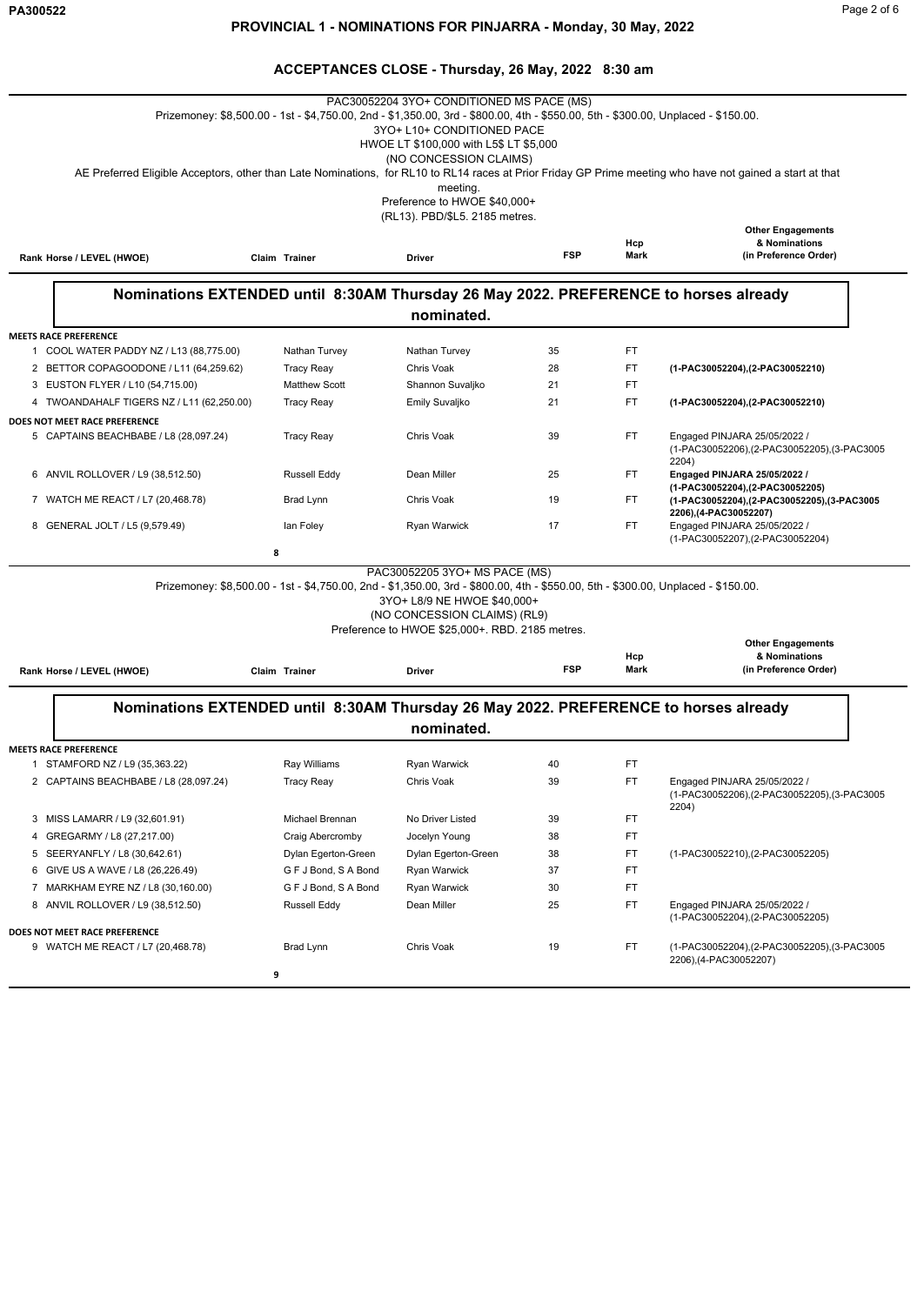|                                                                                      |                                                                                                                                   | PAC30052204 3YO+ CONDITIONED MS PACE (MS)                                       |            |      |                                                                                                                                                           |
|--------------------------------------------------------------------------------------|-----------------------------------------------------------------------------------------------------------------------------------|---------------------------------------------------------------------------------|------------|------|-----------------------------------------------------------------------------------------------------------------------------------------------------------|
|                                                                                      | Prizemoney: \$8,500.00 - 1st - \$4,750.00, 2nd - \$1,350.00, 3rd - \$800.00, 4th - \$550.00, 5th - \$300.00, Unplaced - \$150.00. |                                                                                 |            |      |                                                                                                                                                           |
|                                                                                      |                                                                                                                                   | 3YO+ L10+ CONDITIONED PACE                                                      |            |      |                                                                                                                                                           |
|                                                                                      |                                                                                                                                   | HWOE LT \$100,000 with L5\$ LT \$5,000<br>(NO CONCESSION CLAIMS)                |            |      |                                                                                                                                                           |
|                                                                                      |                                                                                                                                   |                                                                                 |            |      | AE Preferred Eligible Acceptors, other than Late Nominations, for RL10 to RL14 races at Prior Friday GP Prime meeting who have not gained a start at that |
|                                                                                      |                                                                                                                                   | meeting.                                                                        |            |      |                                                                                                                                                           |
|                                                                                      |                                                                                                                                   | Preference to HWOE \$40,000+                                                    |            |      |                                                                                                                                                           |
|                                                                                      |                                                                                                                                   | (RL13). PBD/\$L5. 2185 metres.                                                  |            |      |                                                                                                                                                           |
|                                                                                      |                                                                                                                                   |                                                                                 |            | Hcp  | <b>Other Engagements</b><br>& Nominations                                                                                                                 |
| Rank Horse / LEVEL (HWOE)                                                            | Claim Trainer                                                                                                                     | <b>Driver</b>                                                                   | <b>FSP</b> | Mark | (in Preference Order)                                                                                                                                     |
|                                                                                      |                                                                                                                                   |                                                                                 |            |      |                                                                                                                                                           |
| Nominations EXTENDED until 8:30AM Thursday 26 May 2022. PREFERENCE to horses already |                                                                                                                                   | nominated.                                                                      |            |      |                                                                                                                                                           |
|                                                                                      |                                                                                                                                   |                                                                                 |            |      |                                                                                                                                                           |
| <b>MEETS RACE PREFERENCE</b><br>1 COOL WATER PADDY NZ / L13 (88,775.00)              | Nathan Turvey                                                                                                                     | Nathan Turvey                                                                   | 35         | FT   |                                                                                                                                                           |
| 2 BETTOR COPAGOODONE / L11 (64,259.62)                                               | <b>Tracy Reay</b>                                                                                                                 | Chris Voak                                                                      | 28         | FT.  | (1-PAC30052204), (2-PAC30052210)                                                                                                                          |
| 3 EUSTON FLYER / L10 (54,715.00)                                                     | <b>Matthew Scott</b>                                                                                                              | Shannon Suvaljko                                                                | 21         | FT   |                                                                                                                                                           |
| 4 TWOANDAHALF TIGERS NZ / L11 (62,250.00)                                            | <b>Tracy Reay</b>                                                                                                                 | Emily Suvaljko                                                                  | 21         | FT   | (1-PAC30052204), (2-PAC30052210)                                                                                                                          |
| DOES NOT MEET RACE PREFERENCE                                                        |                                                                                                                                   |                                                                                 |            |      |                                                                                                                                                           |
| 5 CAPTAINS BEACHBABE / L8 (28,097.24)                                                | <b>Tracy Reay</b>                                                                                                                 | Chris Voak                                                                      | 39         | FT   | Engaged PINJARA 25/05/2022 /<br>(1-PAC30052206),(2-PAC30052205),(3-PAC3005                                                                                |
| 6 ANVIL ROLLOVER / L9 (38,512.50)                                                    | Russell Eddy                                                                                                                      | Dean Miller                                                                     | 25         | FT.  | 2204)<br>Engaged PINJARA 25/05/2022 /                                                                                                                     |
|                                                                                      |                                                                                                                                   |                                                                                 |            |      | (1-PAC30052204), (2-PAC30052205)                                                                                                                          |
| 7 WATCH ME REACT / L7 (20,468.78)                                                    | Brad Lynn                                                                                                                         | Chris Voak                                                                      | 19         | FT.  | (1-PAC30052204),(2-PAC30052205),(3-PAC3005                                                                                                                |
| 8 GENERAL JOLT / L5 (9,579.49)                                                       | lan Foley                                                                                                                         | Ryan Warwick                                                                    | 17         | FT   | 2206),(4-PAC30052207)<br>Engaged PINJARA 25/05/2022 /<br>(1-PAC30052207), (2-PAC30052204)                                                                 |
|                                                                                      | 8                                                                                                                                 |                                                                                 |            |      |                                                                                                                                                           |
|                                                                                      |                                                                                                                                   | PAC30052205 3YO+ MS PACE (MS)                                                   |            |      |                                                                                                                                                           |
|                                                                                      | Prizemoney: \$8,500.00 - 1st - \$4,750.00, 2nd - \$1,350.00, 3rd - \$800.00, 4th - \$550.00, 5th - \$300.00, Unplaced - \$150.00. |                                                                                 |            |      |                                                                                                                                                           |
|                                                                                      |                                                                                                                                   | 3YO+ L8/9 NE HWOE \$40,000+                                                     |            |      |                                                                                                                                                           |
|                                                                                      |                                                                                                                                   | (NO CONCESSION CLAIMS) (RL9)<br>Preference to HWOE \$25,000+. RBD. 2185 metres. |            |      |                                                                                                                                                           |
|                                                                                      |                                                                                                                                   |                                                                                 |            |      | <b>Other Engagements</b>                                                                                                                                  |
|                                                                                      |                                                                                                                                   |                                                                                 |            | Hcp  | & Nominations                                                                                                                                             |
| Rank Horse / LEVEL (HWOE)                                                            | Claim Trainer                                                                                                                     | Driver                                                                          | <b>FSP</b> | Mark | (in Preference Order)                                                                                                                                     |
| Nominations EXTENDED until 8:30AM Thursday 26 May 2022. PREFERENCE to horses already |                                                                                                                                   |                                                                                 |            |      |                                                                                                                                                           |
|                                                                                      |                                                                                                                                   | nominated.                                                                      |            |      |                                                                                                                                                           |
|                                                                                      |                                                                                                                                   |                                                                                 |            |      |                                                                                                                                                           |
| <b>MEETS RACE PREFERENCE</b>                                                         |                                                                                                                                   |                                                                                 |            |      |                                                                                                                                                           |
| 1 STAMFORD NZ / L9 (35,363.22)                                                       | Ray Williams                                                                                                                      | Ryan Warwick                                                                    | 40         | FT   |                                                                                                                                                           |
| 2 CAPTAINS BEACHBABE / L8 (28,097.24)                                                | <b>Tracy Reay</b>                                                                                                                 | Chris Voak                                                                      | 39         | FT   | Engaged PINJARA 25/05/2022 /<br>(1-PAC30052206),(2-PAC30052205),(3-PAC3005<br>2204)                                                                       |
| 3 MISS LAMARR / L9 (32,601.91)                                                       | Michael Brennan                                                                                                                   | No Driver Listed                                                                | 39         | FT   |                                                                                                                                                           |
| 4 GREGARMY / L8 (27,217.00)                                                          | Craig Abercromby                                                                                                                  | Jocelyn Young                                                                   | 38         | FT.  |                                                                                                                                                           |
| 5 SEERYANFLY / L8 (30,642.61)                                                        | Dylan Egerton-Green                                                                                                               | Dylan Egerton-Green                                                             | 38         | FT.  | (1-PAC30052210), (2-PAC30052205)                                                                                                                          |
| 6 GIVE US A WAVE / L8 (26,226.49)                                                    | G F J Bond, S A Bond                                                                                                              | Ryan Warwick                                                                    | 37         | FT.  |                                                                                                                                                           |
| 7 MARKHAM EYRE NZ / L8 (30,160.00)                                                   | G F J Bond, S A Bond                                                                                                              | Ryan Warwick                                                                    | 30         | FT.  |                                                                                                                                                           |
| 8 ANVIL ROLLOVER / L9 (38,512.50)                                                    | Russell Eddy                                                                                                                      | Dean Miller                                                                     | 25         | FT.  | Engaged PINJARA 25/05/2022 /                                                                                                                              |
| DOES NOT MEET RACE PREFERENCE                                                        |                                                                                                                                   |                                                                                 |            |      | (1-PAC30052204), (2-PAC30052205)                                                                                                                          |
| 9 WATCH ME REACT / L7 (20,468.78)                                                    | Brad Lynn                                                                                                                         | Chris Voak                                                                      | 19         | FT.  | (1-PAC30052204),(2-PAC30052205),(3-PAC3005                                                                                                                |
|                                                                                      |                                                                                                                                   |                                                                                 |            |      | 2206), (4-PAC30052207)                                                                                                                                    |
|                                                                                      | 9                                                                                                                                 |                                                                                 |            |      |                                                                                                                                                           |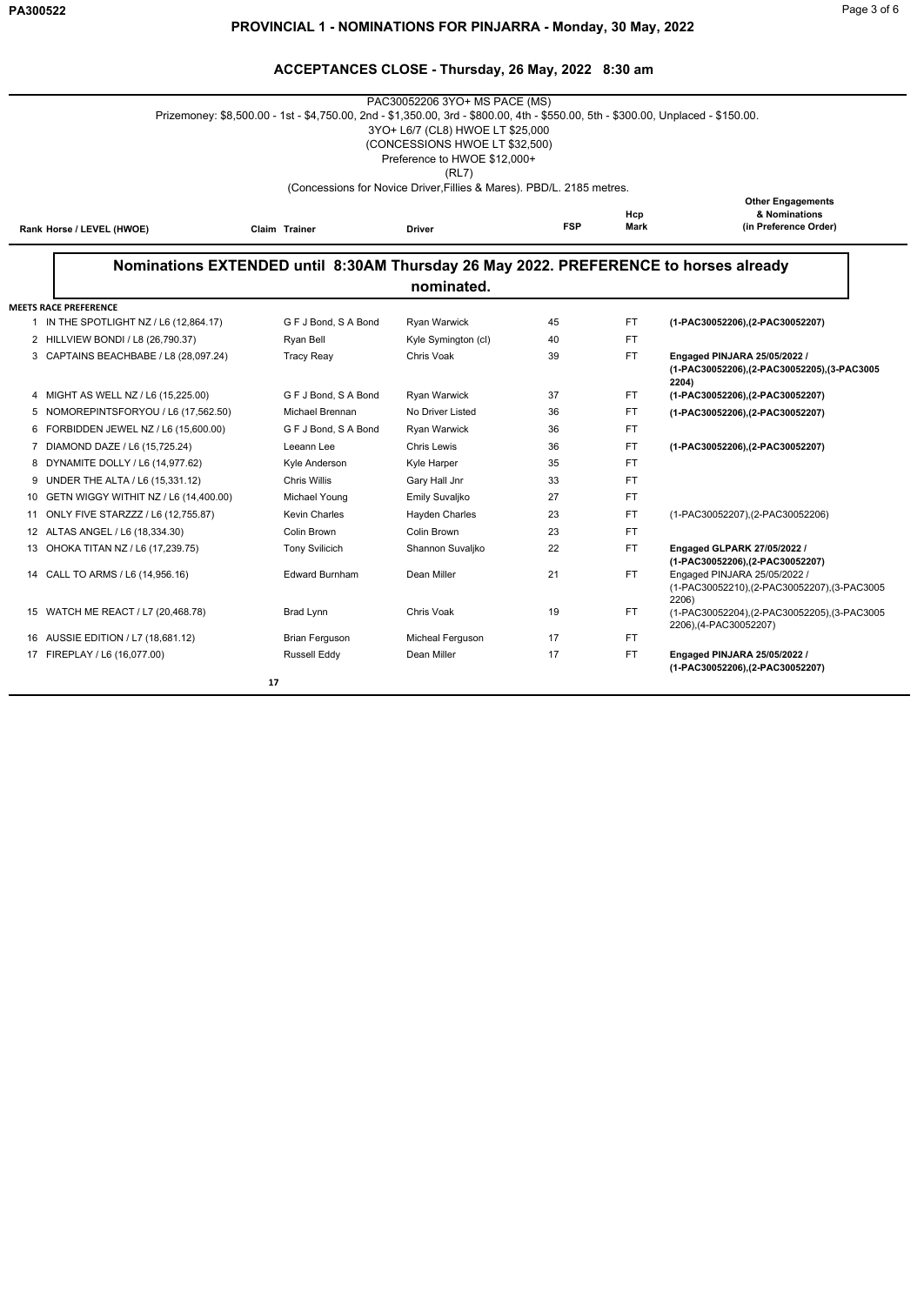| Page 3 of 6 |  |  |
|-------------|--|--|
|             |  |  |

|    |                                          | Prizemoney: \$8,500.00 - 1st - \$4,750.00, 2nd - \$1,350.00, 3rd - \$800.00, 4th - \$550.00, 5th - \$300.00, Unplaced - \$150.00. | PAC30052206 3YO+ MS PACE (MS)<br>3YO+ L6/7 (CL8) HWOE LT \$25,000<br>(CONCESSIONS HWOE LT \$32,500)<br>Preference to HWOE \$12,000+<br>(RL7)<br>(Concessions for Novice Driver, Fillies & Mares). PBD/L. 2185 metres. |             |                                                                    |                                                                                       |
|----|------------------------------------------|-----------------------------------------------------------------------------------------------------------------------------------|-----------------------------------------------------------------------------------------------------------------------------------------------------------------------------------------------------------------------|-------------|--------------------------------------------------------------------|---------------------------------------------------------------------------------------|
|    | Rank Horse / LEVEL (HWOE)                | Claim Trainer                                                                                                                     | <b>FSP</b>                                                                                                                                                                                                            | Hcp<br>Mark | <b>Other Engagements</b><br>& Nominations<br>(in Preference Order) |                                                                                       |
|    |                                          | Nominations EXTENDED until 8:30AM Thursday 26 May 2022. PREFERENCE to horses already                                              | nominated.                                                                                                                                                                                                            |             |                                                                    |                                                                                       |
|    | <b>MEETS RACE PREFERENCE</b>             |                                                                                                                                   |                                                                                                                                                                                                                       |             |                                                                    |                                                                                       |
|    | 1 IN THE SPOTLIGHT NZ / L6 (12,864.17)   | G F J Bond, S A Bond                                                                                                              | Ryan Warwick                                                                                                                                                                                                          | 45          | FT.                                                                | (1-PAC30052206), (2-PAC30052207)                                                      |
|    | 2 HILLVIEW BONDI / L8 (26,790.37)        | Ryan Bell                                                                                                                         | Kyle Symington (cl)                                                                                                                                                                                                   | 40          | FT.                                                                |                                                                                       |
|    | 3 CAPTAINS BEACHBABE / L8 (28,097.24)    | <b>Tracy Reav</b>                                                                                                                 | Chris Voak                                                                                                                                                                                                            | 39          | FT.                                                                | Engaged PINJARA 25/05/2022 /<br>(1-PAC30052206), (2-PAC30052205), (3-PAC3005<br>2204) |
|    | 4 MIGHT AS WELL NZ / L6 (15,225.00)      | G F J Bond, S A Bond                                                                                                              | Ryan Warwick                                                                                                                                                                                                          | 37          | FT.                                                                | (1-PAC30052206), (2-PAC30052207)                                                      |
| 5  | NOMOREPINTSFORYOU / L6 (17,562.50)       | Michael Brennan                                                                                                                   | No Driver Listed                                                                                                                                                                                                      | 36          | FT.                                                                | (1-PAC30052206), (2-PAC30052207)                                                      |
| 6  | FORBIDDEN JEWEL NZ / L6 (15,600.00)      | G F J Bond, S A Bond                                                                                                              | <b>Ryan Warwick</b>                                                                                                                                                                                                   | 36          | FT.                                                                |                                                                                       |
|    | 7 DIAMOND DAZE / L6 (15,725.24)          | Leeann Lee                                                                                                                        | <b>Chris Lewis</b>                                                                                                                                                                                                    | 36          | FT.                                                                | (1-PAC30052206), (2-PAC30052207)                                                      |
|    | 8 DYNAMITE DOLLY / L6 (14,977.62)        | Kyle Anderson                                                                                                                     | Kyle Harper                                                                                                                                                                                                           | 35          | FT.                                                                |                                                                                       |
| 9  | UNDER THE ALTA / L6 (15,331.12)          | <b>Chris Willis</b>                                                                                                               | Gary Hall Jnr                                                                                                                                                                                                         | 33          | FT.                                                                |                                                                                       |
|    | 10 GETN WIGGY WITHIT NZ / L6 (14,400.00) | Michael Young                                                                                                                     | Emily Suvaljko                                                                                                                                                                                                        | 27          | FT.                                                                |                                                                                       |
| 11 | ONLY FIVE STARZZZ / L6 (12,755.87)       | <b>Kevin Charles</b>                                                                                                              | <b>Hayden Charles</b>                                                                                                                                                                                                 | 23          | FT.                                                                | (1-PAC30052207),(2-PAC30052206)                                                       |
|    | 12 ALTAS ANGEL / L6 (18,334.30)          | Colin Brown                                                                                                                       | Colin Brown                                                                                                                                                                                                           | 23          | FT.                                                                |                                                                                       |
|    | 13 OHOKA TITAN NZ / L6 (17,239.75)       | <b>Tony Svilicich</b>                                                                                                             | Shannon Suvaljko                                                                                                                                                                                                      | 22          | FT.                                                                | Engaged GLPARK 27/05/2022 /<br>(1-PAC30052206),(2-PAC30052207)                        |
|    | 14 CALL TO ARMS / L6 (14,956.16)         | <b>Edward Burnham</b>                                                                                                             | Dean Miller                                                                                                                                                                                                           | 21          | FT.                                                                | Engaged PINJARA 25/05/2022 /<br>(1-PAC30052210), (2-PAC30052207), (3-PAC3005<br>2206) |
|    | 15 WATCH ME REACT / L7 (20,468.78)       | Brad Lynn                                                                                                                         | Chris Voak                                                                                                                                                                                                            | 19          | FT.                                                                | (1-PAC30052204), (2-PAC30052205), (3-PAC3005<br>2206), (4-PAC30052207)                |
|    | 16 AUSSIE EDITION / L7 (18,681.12)       | <b>Brian Ferguson</b>                                                                                                             | Micheal Ferguson                                                                                                                                                                                                      | 17          | FT.                                                                |                                                                                       |
|    | 17 FIREPLAY / L6 (16,077.00)             | Russell Eddy                                                                                                                      | Dean Miller                                                                                                                                                                                                           | 17          | FT.                                                                | Engaged PINJARA 25/05/2022 /<br>(1-PAC30052206),(2-PAC30052207)                       |
|    |                                          | 17                                                                                                                                |                                                                                                                                                                                                                       |             |                                                                    |                                                                                       |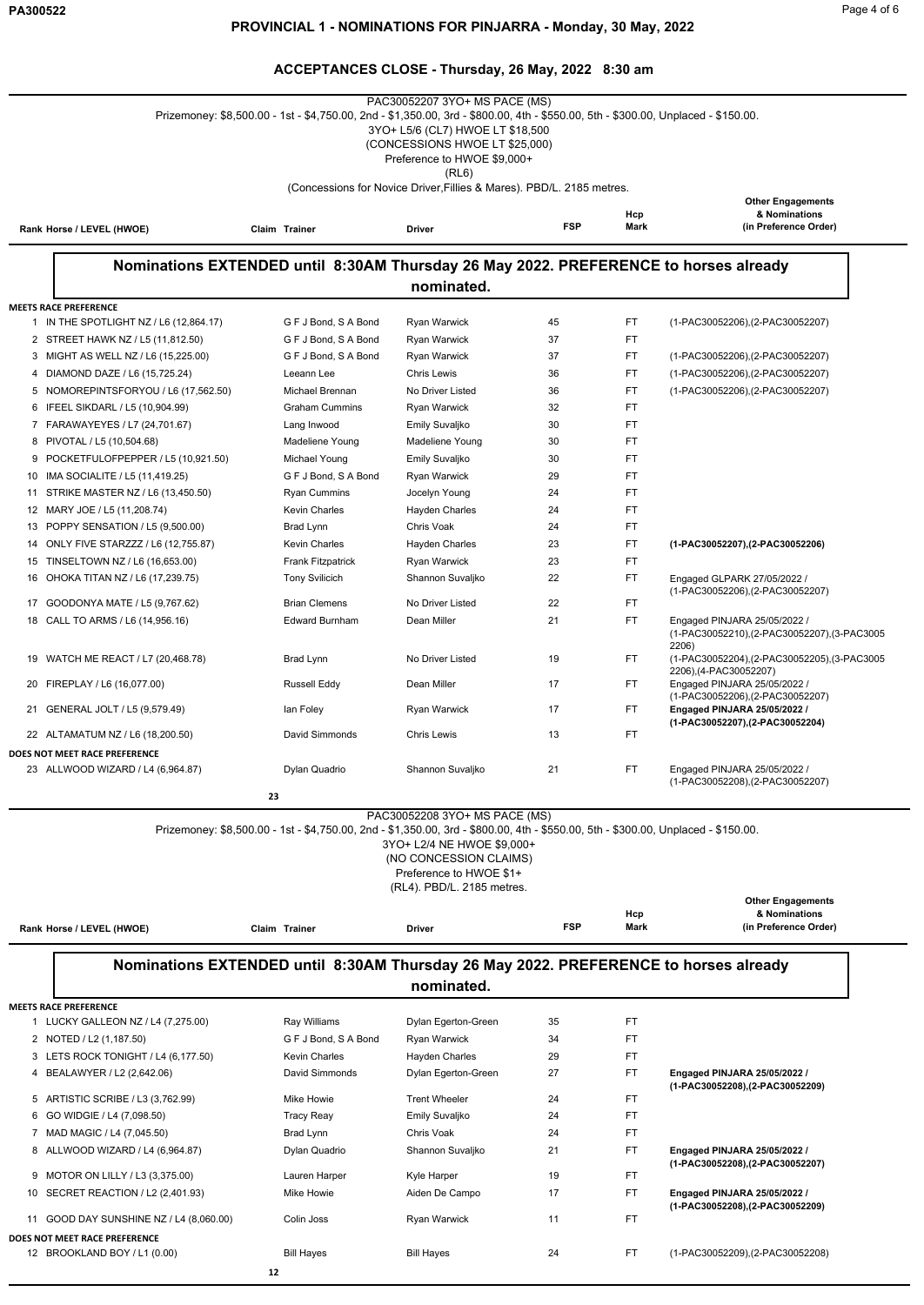$\overline{\phantom{0}}$ 

### **ACCEPTANCES CLOSE - Thursday, 26 May, 2022 8:30 am**

|          |                                                                     | Prizemoney: \$8,500.00 - 1st - \$4,750.00, 2nd - \$1,350.00, 3rd - \$800.00, 4th - \$550.00, 5th - \$300.00, Unplaced - \$150.00. | .<br>PAC30052207 3YO+ MS PACE (MS)<br>3YO+ L5/6 (CL7) HWOE LT \$18,500<br>(CONCESSIONS HWOE LT \$25,000)<br>Preference to HWOE \$9,000+<br>(RL6) |            |             |                                                                      |
|----------|---------------------------------------------------------------------|-----------------------------------------------------------------------------------------------------------------------------------|--------------------------------------------------------------------------------------------------------------------------------------------------|------------|-------------|----------------------------------------------------------------------|
|          |                                                                     |                                                                                                                                   | (Concessions for Novice Driver, Fillies & Mares). PBD/L. 2185 metres.                                                                            |            |             |                                                                      |
|          | Rank Horse / LEVEL (HWOE)                                           | Claim Trainer                                                                                                                     | Driver                                                                                                                                           | <b>FSP</b> | Hcp<br>Mark | <b>Other Engagements</b><br>& Nominations<br>(in Preference Order)   |
|          |                                                                     |                                                                                                                                   |                                                                                                                                                  |            |             |                                                                      |
|          |                                                                     | Nominations EXTENDED until 8:30AM Thursday 26 May 2022. PREFERENCE to horses already                                              | nominated.                                                                                                                                       |            |             |                                                                      |
|          | <b>MEETS RACE PREFERENCE</b>                                        |                                                                                                                                   |                                                                                                                                                  |            |             |                                                                      |
|          | 1 IN THE SPOTLIGHT NZ / L6 (12,864.17)                              | G F J Bond, S A Bond                                                                                                              | Ryan Warwick                                                                                                                                     | 45         | FT          | (1-PAC30052206), (2-PAC30052207)                                     |
|          | 2 STREET HAWK NZ / L5 (11,812.50)                                   | G F J Bond, S A Bond                                                                                                              | Ryan Warwick                                                                                                                                     | 37         | FT          |                                                                      |
|          | 3 MIGHT AS WELL NZ / L6 (15,225.00)                                 | G F J Bond, S A Bond                                                                                                              | Ryan Warwick                                                                                                                                     | 37         | FT          | (1-PAC30052206), (2-PAC30052207)                                     |
| 4        | DIAMOND DAZE / L6 (15,725.24)                                       | Leeann Lee                                                                                                                        | <b>Chris Lewis</b>                                                                                                                               | 36         | FT          | (1-PAC30052206), (2-PAC30052207)                                     |
|          | 5 NOMOREPINTSFORYOU / L6 (17,562.50)                                | Michael Brennan                                                                                                                   | No Driver Listed                                                                                                                                 | 36         | FT          | (1-PAC30052206), (2-PAC30052207)                                     |
| 6        | IFEEL SIKDARL / L5 (10,904.99)                                      | <b>Graham Cummins</b>                                                                                                             | Ryan Warwick                                                                                                                                     | 32         | FT          |                                                                      |
|          | 7 FARAWAYEYES / L7 (24,701.67)                                      | Lang Inwood                                                                                                                       | Emily Suvaljko                                                                                                                                   | 30         | FT          |                                                                      |
| 8        | PIVOTAL / L5 (10,504.68)                                            | Madeliene Young                                                                                                                   | Madeliene Young                                                                                                                                  | 30         | FT          |                                                                      |
| 9        | POCKETFULOFPEPPER / L5 (10,921.50)                                  | Michael Young                                                                                                                     | Emily Suvaljko                                                                                                                                   | 30         | FT          |                                                                      |
| 10<br>11 | IMA SOCIALITE / L5 (11,419.25)<br>STRIKE MASTER NZ / L6 (13,450.50) | G F J Bond, S A Bond<br><b>Ryan Cummins</b>                                                                                       | Ryan Warwick<br>Jocelyn Young                                                                                                                    | 29<br>24   | FT<br>FT    |                                                                      |
|          | 12 MARY JOE / L5 (11,208.74)                                        | <b>Kevin Charles</b>                                                                                                              | Hayden Charles                                                                                                                                   | 24         | FT          |                                                                      |
|          | 13 POPPY SENSATION / L5 (9,500.00)                                  | Brad Lynn                                                                                                                         | Chris Voak                                                                                                                                       | 24         | FT          |                                                                      |
| 14       | ONLY FIVE STARZZZ / L6 (12,755.87)                                  | <b>Kevin Charles</b>                                                                                                              | Hayden Charles                                                                                                                                   | 23         | FT          | (1-PAC30052207),(2-PAC30052206)                                      |
|          | 15 TINSELTOWN NZ / L6 (16,653.00)                                   | <b>Frank Fitzpatrick</b>                                                                                                          | Ryan Warwick                                                                                                                                     | 23         | FT          |                                                                      |
| 16       | OHOKA TITAN NZ / L6 (17,239.75)                                     | <b>Tony Svilicich</b>                                                                                                             | Shannon Suvaljko                                                                                                                                 | 22         | FT          | Engaged GLPARK 27/05/2022 /                                          |
| 17       | GOODONYA MATE / L5 (9,767.62)                                       | <b>Brian Clemens</b>                                                                                                              | No Driver Listed                                                                                                                                 | 22         | FT          | (1-PAC30052206), (2-PAC30052207)                                     |
| 18       | CALL TO ARMS / L6 (14,956.16)                                       | <b>Edward Burnham</b>                                                                                                             | Dean Miller                                                                                                                                      | 21         | FT          | Engaged PINJARA 25/05/2022 /                                         |
|          |                                                                     |                                                                                                                                   |                                                                                                                                                  |            |             | (1-PAC30052210),(2-PAC30052207),(3-PAC3005<br>2206)                  |
| 19       | WATCH ME REACT / L7 (20,468.78)                                     | Brad Lynn                                                                                                                         | No Driver Listed                                                                                                                                 | 19         | FT          | (1-PAC30052204),(2-PAC30052205),(3-PAC3005<br>2206), (4-PAC30052207) |
| 20       | FIREPLAY / L6 (16,077.00)                                           | <b>Russell Eddy</b>                                                                                                               | Dean Miller                                                                                                                                      | 17         | FT.         | Engaged PINJARA 25/05/2022 /<br>(1-PAC30052206), (2-PAC30052207)     |
|          | 21 GENERAL JOLT / L5 (9,579.49)                                     | lan Foley                                                                                                                         | Ryan Warwick                                                                                                                                     | 17         | FT          | Engaged PINJARA 25/05/2022 /                                         |
|          | 22 ALTAMATUM NZ / L6 (18,200.50)                                    | David Simmonds                                                                                                                    | <b>Chris Lewis</b>                                                                                                                               | 13         | FT          | (1-PAC30052207),(2-PAC30052204)                                      |
|          | DOES NOT MEET RACE PREFERENCE                                       |                                                                                                                                   |                                                                                                                                                  |            |             |                                                                      |
|          | 23 ALLWOOD WIZARD / L4 (6,964.87)                                   | Dylan Quadrio                                                                                                                     | Shannon Suvaljko                                                                                                                                 | 21         | FT          | Engaged PINJARA 25/05/2022 /<br>(1-PAC30052208), (2-PAC30052207)     |
|          |                                                                     | 23                                                                                                                                |                                                                                                                                                  |            |             |                                                                      |
|          |                                                                     | Prizemoney: \$8,500.00 - 1st - \$4,750.00, 2nd - \$1,350.00, 3rd - \$800.00, 4th - \$550.00, 5th - \$300.00, Unplaced - \$150.00. | PAC30052208 3YO+ MS PACE (MS)<br>3YO+ L2/4 NE HWOE \$9,000+<br>(NO CONCESSION CLAIMS)<br>Preference to HWOE \$1+<br>(RL4). PBD/L. 2185 metres.   |            |             |                                                                      |
|          |                                                                     |                                                                                                                                   |                                                                                                                                                  |            | Hcp         | <b>Other Engagements</b><br>& Nominations                            |
|          | Rank Horse / LEVEL (HWOE)                                           | Claim Trainer                                                                                                                     | Driver                                                                                                                                           | <b>FSP</b> | Mark        | (in Preference Order)                                                |
|          |                                                                     | Nominations EXTENDED until 8:30AM Thursday 26 May 2022. PREFERENCE to horses already                                              | nominated.                                                                                                                                       |            |             |                                                                      |
|          | <b>MEETS RACE PREFERENCE</b>                                        |                                                                                                                                   |                                                                                                                                                  |            |             |                                                                      |
|          | 1 LUCKY GALLEON NZ / L4 (7,275.00)                                  | Ray Williams                                                                                                                      | Dylan Egerton-Green                                                                                                                              | 35         | FT          |                                                                      |
|          | 2 NOTED / L2 (1,187.50)<br>3 LETS ROCK TONIGHT / L4 (6,177.50)      | G F J Bond, S A Bond<br><b>Kevin Charles</b>                                                                                      | Ryan Warwick<br>Hayden Charles                                                                                                                   | 34<br>29   | FT<br>FT    |                                                                      |
|          | 4 BEALAWYER / L2 (2,642.06)                                         | David Simmonds                                                                                                                    | Dylan Egerton-Green                                                                                                                              | 27         | FT          | Engaged PINJARA 25/05/2022 /                                         |
|          |                                                                     |                                                                                                                                   |                                                                                                                                                  |            |             | (1-PAC30052208),(2-PAC30052209)                                      |
|          | 5 ARTISTIC SCRIBE / L3 (3,762.99)                                   | Mike Howie                                                                                                                        | <b>Trent Wheeler</b>                                                                                                                             | 24         | FT          |                                                                      |
| 6        | GO WIDGIE / L4 (7,098.50)<br>7 MAD MAGIC / L4 (7,045.50)            | <b>Tracy Reay</b>                                                                                                                 | Emily Suvaljko<br>Chris Voak                                                                                                                     | 24<br>24   | FT<br>FT.   |                                                                      |
|          | 8 ALLWOOD WIZARD / L4 (6,964.87)                                    | Brad Lynn<br>Dylan Quadrio                                                                                                        | Shannon Suvaljko                                                                                                                                 | 21         | FT          | Engaged PINJARA 25/05/2022 /                                         |
|          |                                                                     |                                                                                                                                   |                                                                                                                                                  |            |             | (1-PAC30052208),(2-PAC30052207)                                      |
|          | 9 MOTOR ON LILLY / L3 (3,375.00)                                    | Lauren Harper                                                                                                                     | Kyle Harper                                                                                                                                      | 19         | FT          |                                                                      |
|          | 10 SECRET REACTION / L2 (2,401.93)                                  | Mike Howie                                                                                                                        | Aiden De Campo                                                                                                                                   | 17         | FT          | Engaged PINJARA 25/05/2022 /<br>(1-PAC30052208),(2-PAC30052209)      |
| 11       | GOOD DAY SUNSHINE NZ / L4 (8,060.00)                                | Colin Joss                                                                                                                        | Ryan Warwick                                                                                                                                     | 11         | FT          |                                                                      |
|          | DOES NOT MEET RACE PREFERENCE<br>12 BROOKLAND BOY / L1 (0.00)       | <b>Bill Hayes</b>                                                                                                                 | <b>Bill Hayes</b>                                                                                                                                | 24         | FT.         | (1-PAC30052209), (2-PAC30052208)                                     |

 **12**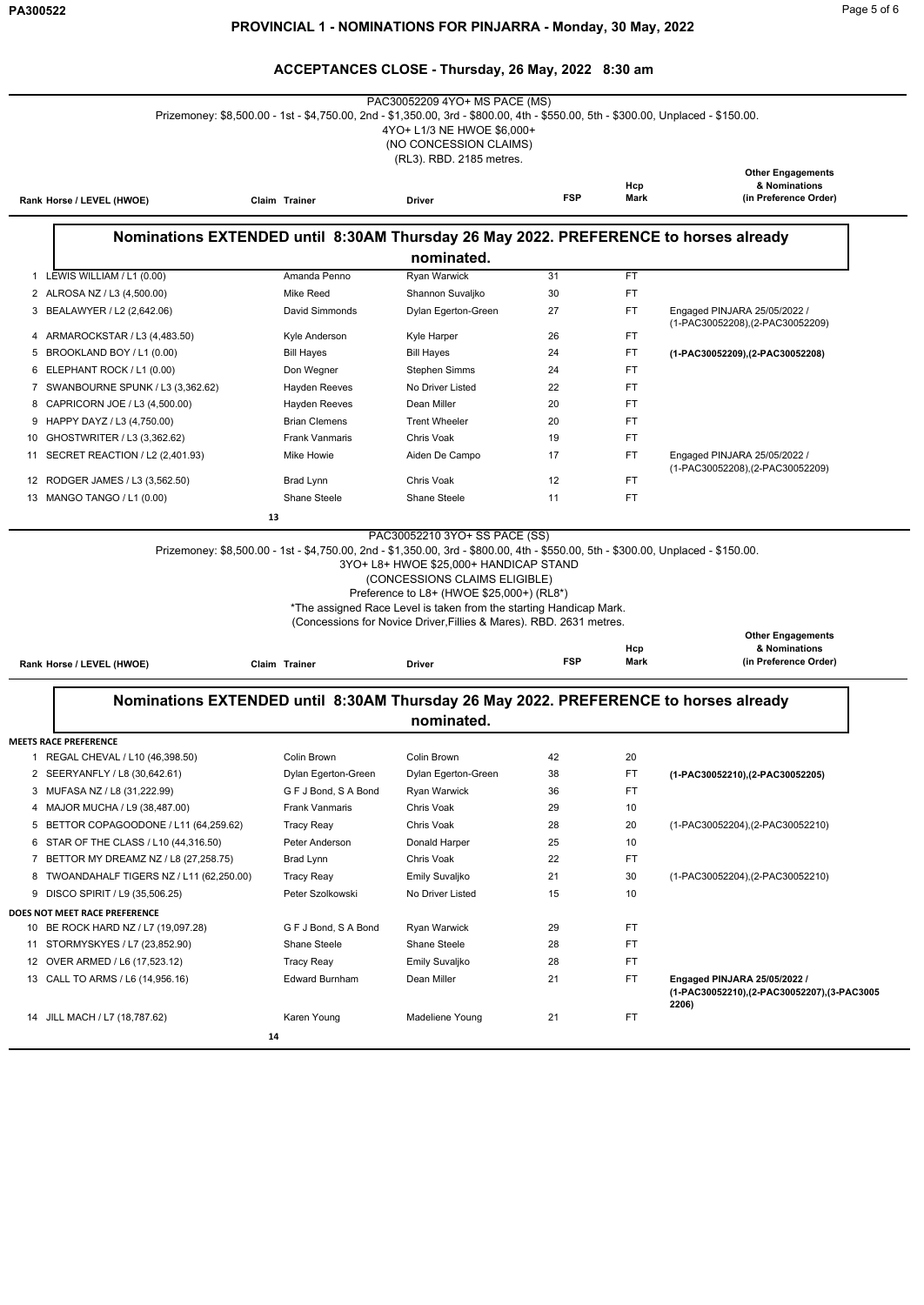